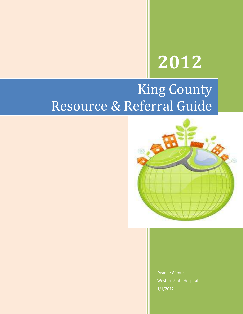# **2012**

## King County Resource & Referral Guide



Deanne Gilmur Western State Hospital 1/1/2012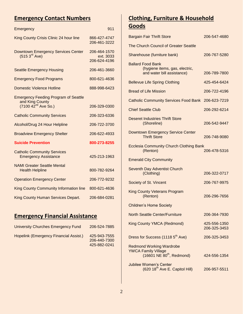#### **Emergency Contact Numbers**

| Emergency                                                         | 911                                       |
|-------------------------------------------------------------------|-------------------------------------------|
| King County Crisis Clinic 24 hour line                            | 866-427-4747<br>206-461-3222              |
| Downtown Emergency Services Center<br>(515 3 <sup>rd</sup> Ave)   | 206-464-1570<br>ext. 3033<br>206-624-4196 |
| <b>Seattle Emergency Housing</b>                                  | 206-461-3660                              |
| <b>Emergency Food Programs</b>                                    | 800-621-4636                              |
| <b>Domestic Violence Hotline</b>                                  | 888-998-6423                              |
| <b>Emergency Feeding Program of Seattle</b><br>and King County    |                                           |
| $(7100 \ 42^{nd} \text{ Ave } \text{So.})$                        | 206-329-0300                              |
| <b>Catholic Community Services</b>                                | 206-323-6336                              |
| Alcohol/Drug 24 Hour Helpline                                     | 206-722-3700                              |
| <b>Broadview Emergency Shelter</b>                                | 206-622-4933                              |
| <b>Suicide Prevention</b>                                         | 800-273-8255                              |
| <b>Catholic Community Services</b><br><b>Emergency Assistance</b> | 425-213-1963                              |
| <b>NAMI Greater Seattle Mental</b><br><b>Health Helpline</b>      | 800-782-9264                              |
| <b>Operation Emergency Center</b>                                 | 206-772-9232                              |
| <b>King County Community Information line</b>                     | 800-621-4636                              |
| King County Human Services Depart.                                | 206-684-0281                              |

#### **Emergency Financial Assistance**

| University Churches Emergency Fund     | 206-524-7885                                 |
|----------------------------------------|----------------------------------------------|
| Hopelink (Emergency Financial Assist.) | 425-943-7555<br>206-440-7300<br>425-882-0241 |

#### **Clothing, Furniture & Household Goods**

| <b>Bargain Fair Thrift Store</b>                                                               | 206-547-4680                 |
|------------------------------------------------------------------------------------------------|------------------------------|
| The Church Council of Greater Seattle                                                          |                              |
| Sharehouse (furniture bank)                                                                    | 206-767-5280                 |
| <b>Ballard Food Bank</b><br>(hygiene items, gas, electric,<br>and water bill assistance)       | 206-789-7800                 |
| <b>Bellevue Life Spring Clothing</b>                                                           | 425-454-6424                 |
| <b>Bread of Life Mission</b>                                                                   | 206-722-4196                 |
| <b>Catholic Community Services Food Bank</b>                                                   | 206-623-7219                 |
| <b>Chief Seattle Club</b>                                                                      | 206-292-6214                 |
| <b>Deseret Industries Thrift Store</b><br>(Shoreline)                                          | 206-542-9447                 |
| <b>Downtown Emergency Service Center</b><br><b>Thrift Store</b>                                | 206-748-9080                 |
| <b>Ecclesia Community Church Clothing Bank</b><br>(Renton)                                     | 206-478-5316                 |
| <b>Emerald City Community</b>                                                                  |                              |
| <b>Seventh Day Adventist Church</b><br>(Clothing)                                              | 206-322-0717                 |
| Society of St. Vincent                                                                         | 206-767-9975                 |
| <b>King County Veterans Program</b><br>(Renton)                                                | 206-296-7656                 |
| <b>Children's Home Society</b>                                                                 |                              |
| <b>North Seattle Center/Furniture</b>                                                          | 206-364-7930                 |
| <b>King County YMCA (Redmond)</b>                                                              | 425-556-1350<br>206-325-3453 |
| Dress for Success (1118 5 <sup>th</sup> Ave)                                                   | 206-325-3453                 |
| <b>Redmond Working Wardrobe</b><br><b>YWCA Family Village</b><br>$(16601$ NE $80th$ , Redmond) | 424-556-1354                 |
| <b>Jubilee Women's Center</b><br>(620 18 <sup>th</sup> Ave E. Capitol Hill)                    | 206-957-5511                 |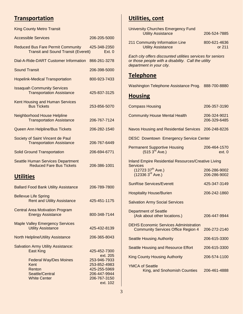#### **Transportation**

| <b>King County Metro Transit</b>                                                          |                                                                                          |  |  |
|-------------------------------------------------------------------------------------------|------------------------------------------------------------------------------------------|--|--|
| <b>Accessible Services</b>                                                                | 206-205-5000                                                                             |  |  |
| <b>Reduced Bus Fare Permit Community</b><br><b>Transit and Sound Transit (Everett)</b>    | 425-348-2350<br>Ext. 0                                                                   |  |  |
| Dial-A-Ride-DART Customer Information                                                     | 866-261-3278                                                                             |  |  |
| <b>Sound Transit</b>                                                                      | 206-398-5000                                                                             |  |  |
| <b>Hopelink-Medical Transportation</b>                                                    | 800-923-7433                                                                             |  |  |
| <b>Issaquah Community Services</b><br><b>Transportation Assistance</b>                    | 425-837-3125                                                                             |  |  |
| <b>Kent Housing and Human Services</b><br><b>Bus Tickets</b>                              | 253-856-5070                                                                             |  |  |
| <b>Neighborhood House Helpline</b><br><b>Transportation Assistance</b>                    | 206-767-7124                                                                             |  |  |
| Queen Ann Helpline/Bus Tickets                                                            | 206-282-1540                                                                             |  |  |
| Society of Saint Vincent de Paul<br><b>Transportation Assistance</b>                      | 206-767-6449                                                                             |  |  |
| <b>Solid Ground Transportation</b>                                                        | 206-694-6771                                                                             |  |  |
| <b>Seattle Human Services Department</b><br><b>Reduced Fare Bus Tickets</b>               | 206-386-1001                                                                             |  |  |
| <u>Utilities</u>                                                                          |                                                                                          |  |  |
| <b>Ballard Food Bank Utility Assistance</b>                                               | 206-789-7800                                                                             |  |  |
| <b>Bellevue Life Spring</b><br><b>Rent and Utility Assistance</b>                         | 425-451-1175                                                                             |  |  |
| <b>Central Area Motivation Program</b><br><b>Energy Assistance</b>                        | 800-348-7144                                                                             |  |  |
| <b>Maple Valley Emergency Services</b><br><b>Utility Assistance</b>                       | 425-432-8139                                                                             |  |  |
| <b>North Helpline/Utility Assistance</b>                                                  | 206-365-8043                                                                             |  |  |
| <b>Salvation Army Utility Assistance:</b><br><b>East King</b>                             | 425-452-7300<br>ext. 205                                                                 |  |  |
| <b>Federal Way/Des Moines</b><br>Kent<br>Renton<br>Seattle/Central<br><b>White Center</b> | 253-946-7933<br>253-852-4983<br>425-255-5969<br>206-447-9944<br>206-767-3150<br>ext. 102 |  |  |
|                                                                                           |                                                                                          |  |  |

#### **Utilities, cont**

| <b>University Churches Emergency Fund</b>                                                                                                     |                              |  |  |
|-----------------------------------------------------------------------------------------------------------------------------------------------|------------------------------|--|--|
| <b>Utility Assistance</b>                                                                                                                     | 206-524-7885                 |  |  |
| 211 Community Information Line<br><b>Utility Assistance</b>                                                                                   | 800-621-4636<br>or 211       |  |  |
| Each city offers discounted utilities services for seniors<br>or those people with a disability. Call the utility<br>department in your city. |                              |  |  |
| <u>Telephone</u>                                                                                                                              |                              |  |  |
| Washington Telephone Assistance Prog. 888-700-8880                                                                                            |                              |  |  |
| <b>Housing</b>                                                                                                                                |                              |  |  |
| <b>Compass Housing</b>                                                                                                                        | 206-357-3190                 |  |  |
| <b>Community House Mental Health</b>                                                                                                          | 206-324-9021<br>206-329-6485 |  |  |
| Navos Housing and Residential Services 206-248-8226                                                                                           |                              |  |  |
| <b>DESC Downtown Emergency Service Center</b>                                                                                                 |                              |  |  |
| Permanent Supportive Housing<br>(515 3 <sup>rd</sup> Ave.)                                                                                    | 206-464-1570<br>ext. 0       |  |  |
| <b>Inland Empire Residential Resources/Creative Living</b>                                                                                    |                              |  |  |
| <b>Services</b><br>(12723 37 <sup>th</sup> Ave.)<br>(12336 3 <sup>rd</sup> Ave.)                                                              | 206-286-9002<br>206-286-9002 |  |  |
| <b>SunRise Services/Everett</b>                                                                                                               | 425-347-3149                 |  |  |
| <b>Hospitality House/Burien</b>                                                                                                               | 206-242-1860                 |  |  |
| <b>Salvation Army Social Services</b>                                                                                                         |                              |  |  |
| <b>Department of Seattle</b><br>(Ask about other locations.)                                                                                  | 206-447-9944                 |  |  |
| <b>DEHS Economic Services Administration</b><br><b>Community Services Office Region 4</b>                                                     | 206-272-2140                 |  |  |
| <b>Seattle Housing Authority</b>                                                                                                              | 206-615-3300                 |  |  |
| <b>Seattle Housing and Resource Effort</b>                                                                                                    | 206-615-3300                 |  |  |
| <b>King County Housing Authority</b>                                                                                                          | 206-574-1100                 |  |  |
| <b>YMCA of Seattle</b>                                                                                                                        |                              |  |  |

King, and Snohomish Counties 206-461-4888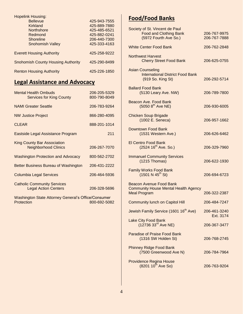| <b>Hopelink Housing:</b>                  |              |
|-------------------------------------------|--------------|
| <b>Bellevue</b>                           | 425-943-7555 |
| Kirkland                                  | 425-889-7880 |
| <b>Northshore</b>                         | 425-485-6521 |
| Redmond                                   | 425-882-0241 |
| Shoreline                                 | 206-440-7300 |
| <b>Snohomish Valley</b>                   | 425-333-4163 |
| <b>Everett Housing Authority</b>          | 425-258-9222 |
| <b>Snohomish County Housing Authority</b> | 425-290-8499 |
| <b>Renton Housing Authority</b>           | 425-226-1850 |

### **Legal Assistance and Advocacy**

| <b>Mental Health Ombuds</b><br><b>Services for King County</b>           | 206-205-5329<br>800-790-8049 |
|--------------------------------------------------------------------------|------------------------------|
| <b>NAMI Greater Seattle</b>                                              | 206-783-9264                 |
| <b>NW Justice Project</b>                                                | 866-280-4095                 |
| <b>CLEAR</b>                                                             | 888-201-1014                 |
| Eastside Legal Assistance Program                                        | 211                          |
| <b>King County Bar Association</b><br><b>Neighborhood Clinics</b>        | 206-267-7070                 |
| <b>Washington Protection and Advocacy</b>                                | 800-562-2702                 |
| Better Business Bureau of Washington                                     | 206-431-2222                 |
| <b>Columbia Legal Services</b>                                           | 206-464-5936                 |
| <b>Catholic Community Services</b><br><b>Legal Action Centers</b>        | 206-328-5696                 |
| <b>Washington State Attorney General's Office/Consumer</b><br>Protection | 800-692-5082                 |

#### **Food/Food Banks**

| Society of St. Vincent de Paul<br><b>Food and Clothing Bank</b><br>(5972 Fourth Ave So.)      | 206-767-9975<br>206-767-7888 |
|-----------------------------------------------------------------------------------------------|------------------------------|
| <b>White Center Food Bank</b>                                                                 | 206-762-2848                 |
| <b>Northwest Harvest</b><br><b>Cherry Street Food Bank</b>                                    | 206-625-0755                 |
| <b>Asian Counseling</b><br><b>International District Food Bank</b><br>(919 So. King St)       | 206-292-5714                 |
| <b>Ballard Food Bank</b><br>(5130 Leary Ave. NW)                                              | 206-789-7800                 |
| Beacon Ave. Food Bank<br>$(5050 8^{th}$ Ave NE)                                               | 206-930-6005                 |
| <b>Chicken Soup Brigade</b><br>(1002 E. Seneca)                                               | 206-957-1662                 |
| Downtown Food Bank<br>(1531 Western Ave.)                                                     | 206-626-6462                 |
| <b>El Centro Food Bank</b><br>(2524 16 <sup>th</sup> Ave. So.)                                | 206-329-7960                 |
| <b>Immanuel Community Services</b><br>$(1215)$ Thomas)                                        | 206-622-1930                 |
| <b>Family Works Food Bank</b><br>$(1501 N 45^{th} St)$                                        | 206-694-6723                 |
| Beacon Avenue Food Bank<br><b>Community House Mental Health Agency</b><br><b>Meal Program</b> | 206-322-2387                 |
| <b>Community lunch on Capitol Hill</b>                                                        | 206-484-7247                 |
| Jewish Family Service (1601 16 <sup>th</sup> Ave)                                             | 206-461-3240<br>Ext. 3174    |
| <b>Lake City Food Bank</b><br>(12736 33rd Ave NE)                                             | 206-367-3477                 |
| <b>Paradise of Praise Food Bank</b><br>(1316 SW Holden St)                                    | 206-768-2745                 |
| <b>Phinney Ridge Food Bank</b><br>(7500 Greenwood Ave N)                                      | 206-784-7964                 |
| Providence Regina House<br>$(8201 10^{th}$ Ave So)                                            | 206-763-9204                 |